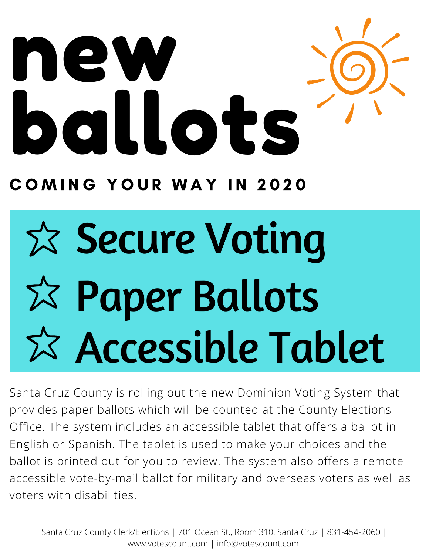

COMING YOUR WAY IN 2020

## $x$  Secure Voting Paper Ballots Accessible Tablet

Santa Cruz County is rolling out the new Dominion Voting System that provides paper ballots which will be counted at the County Elections Office. The system includes an accessible tablet that offers a ballot in English or Spanish. The tablet is used to make your choices and the ballot is printed out for you to review. The system also offers a remote accessible vote-by-mail ballot for military and overseas voters as well as voters with disabilities.